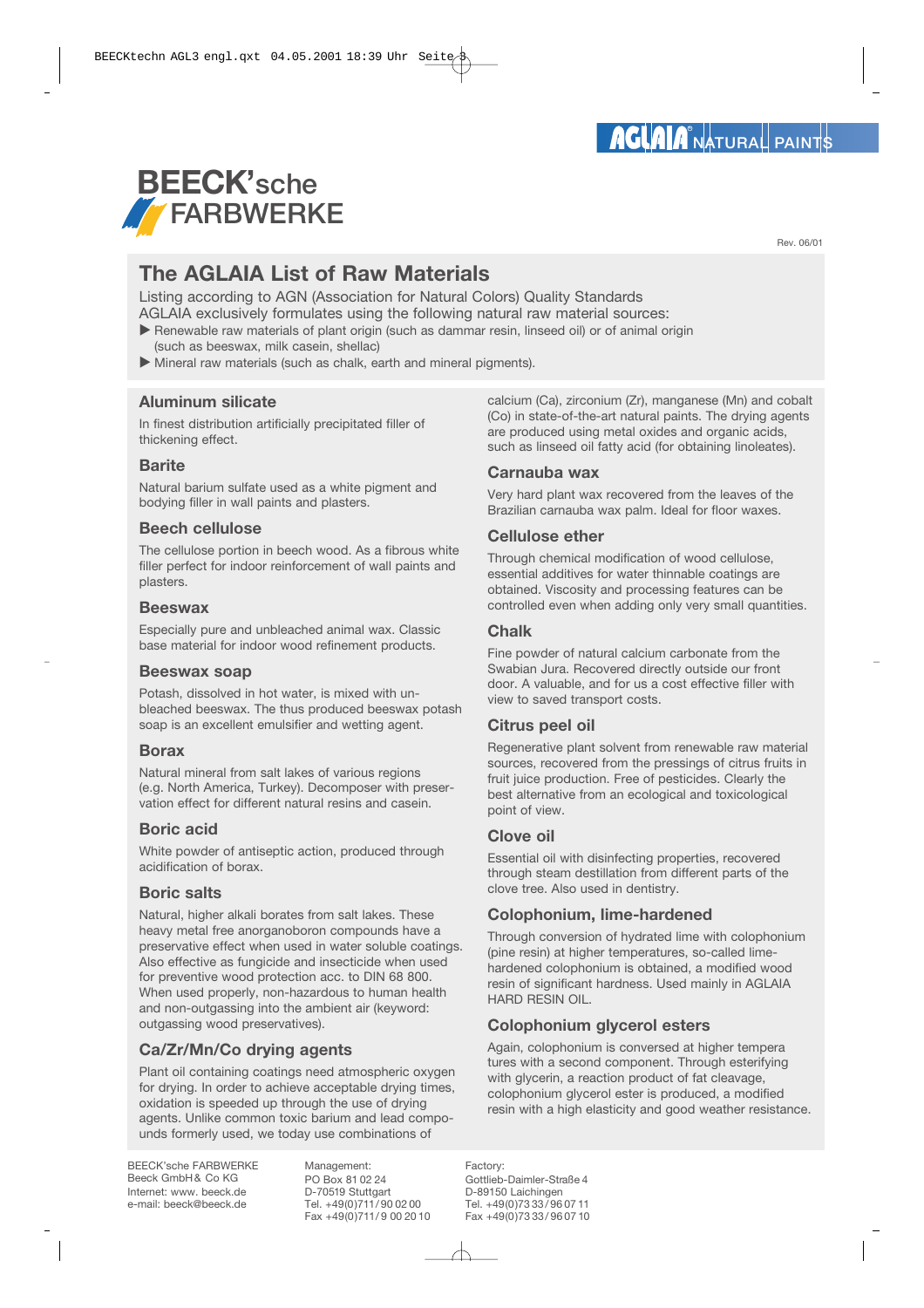# **BEECK'sche** *T* FARBWERKE

**The AGLAIA List of Raw Materials**

Listing according to AGN (Association for Natural Colors) Quality Standards AGLAIA exclusively formulates using the following natural raw material sources:

- Renewable raw materials of plant origin (such as dammar resin, linseed oil) or of animal origin (such as beeswax, milk casein, shellac)
- Mineral raw materials (such as chalk, earth and mineral pigments).

# **Aluminum silicate**

In finest distribution artificially precipitated filler of thickening effect.

# **Barite**

Natural barium sulfate used as a white pigment and bodying filler in wall paints and plasters.

# **Beech cellulose**

The cellulose portion in beech wood. As a fibrous white filler perfect for indoor reinforcement of wall paints and plasters.

#### **Beeswax**

Especially pure and unbleached animal wax. Classic base material for indoor wood refinement products.

#### **Beeswax soap**

Potash, dissolved in hot water, is mixed with unbleached beeswax. The thus produced beeswax potash soap is an excellent emulsifier and wetting agent.

#### **Borax**

Natural mineral from salt lakes of various regions (e.g. North America, Turkey). Decomposer with preservation effect for different natural resins and casein.

# **Boric acid**

White powder of antiseptic action, produced through acidification of borax.

#### **Boric salts**

Natural, higher alkali borates from salt lakes. These heavy metal free anorganoboron compounds have a preservative effect when used in water soluble coatings. Also effective as fungicide and insecticide when used for preventive wood protection acc. to DIN 68 800. When used properly, non-hazardous to human health and non-outgassing into the ambient air (keyword: outgassing wood preservatives).

# **Ca/Zr/Mn/Co drying agents**

Plant oil containing coatings need atmospheric oxygen for drying. In order to achieve acceptable drying times, oxidation is speeded up through the use of drying agents. Unlike common toxic barium and lead compounds formerly used, we today use combinations of

BEECK'sche FARBWERKE Beeck GmbH& Co KG Internet: www. beeck.de e-mail: beeck@beeck.de

Management: PO Box 81 02 24 D-70519 Stuttgart Tel. +49(0)711/ 90 02 00 Fax +49(0)711/9 00 20 10 calcium (Ca), zirconium (Zr), manganese (Mn) and cobalt (Co) in state-of-the-art natural paints. The drying agents are produced using metal oxides and organic acids, such as linseed oil fatty acid (for obtaining linoleates).

#### **Carnauba wax**

Very hard plant wax recovered from the leaves of the Brazilian carnauba wax palm. Ideal for floor waxes.

# **Cellulose ether**

Through chemical modification of wood cellulose, essential additives for water thinnable coatings are obtained. Viscosity and processing features can be controlled even when adding only very small quantities.

# **Chalk**

Fine powder of natural calcium carbonate from the Swabian Jura. Recovered directly outside our front door. A valuable, and for us a cost effective filler with view to saved transport costs.

# **Citrus peel oil**

Regenerative plant solvent from renewable raw material sources, recovered from the pressings of citrus fruits in fruit juice production. Free of pesticides. Clearly the best alternative from an ecological and toxicological point of view.

# **Clove oil**

Essential oil with disinfecting properties, recovered through steam destillation from different parts of the clove tree. Also used in dentistry.

# **Colophonium, lime-hardened**

Through conversion of hydrated lime with colophonium (pine resin) at higher temperatures, so-called limehardened colophonium is obtained, a modified wood resin of significant hardness. Used mainly in AGLAIA HARD RESIN OIL.

# **Colophonium glycerol esters**

Again, colophonium is conversed at higher tempera tures with a second component. Through esterifying with glycerin, a reaction product of fat cleavage, colophonium glycerol ester is produced, a modified resin with a high elasticity and good weather resistance.

Factory: Gottlieb-Daimler-Straße 4 D-89150 Laichingen Tel. +49(0)73 33/ 96 07 11 Fax +49(0)73 33/ 96 07 10 Rev. 06/01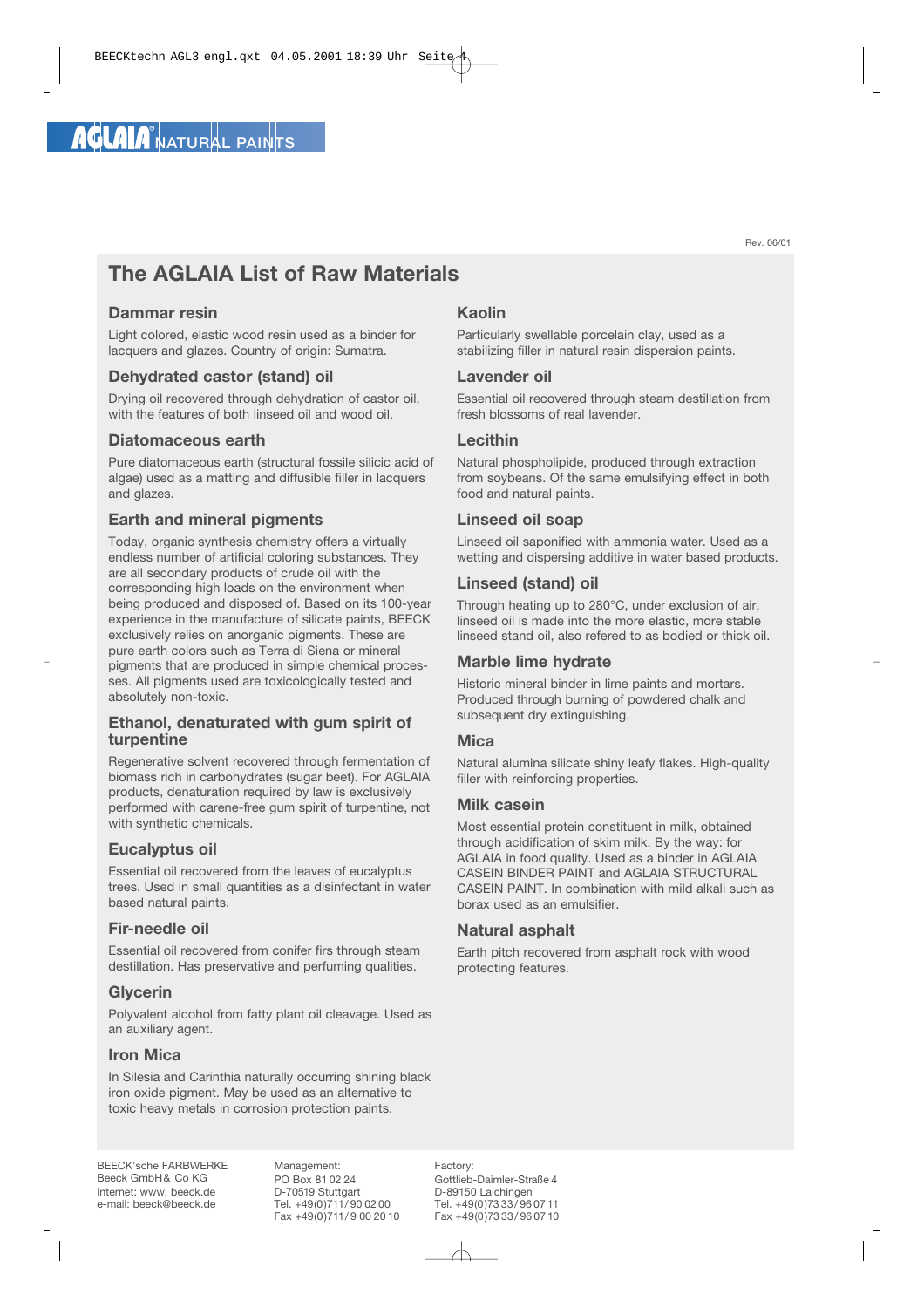Rev. 06/01

# **The AGLAIA List of Raw Materials**

# **Dammar resin**

Light colored, elastic wood resin used as a binder for lacquers and glazes. Country of origin: Sumatra.

# **Dehydrated castor (stand) oil**

Drying oil recovered through dehydration of castor oil, with the features of both linseed oil and wood oil.

#### **Diatomaceous earth**

Pure diatomaceous earth (structural fossile silicic acid of algae) used as a matting and diffusible filler in lacquers and glazes.

# **Earth and mineral pigments**

Today, organic synthesis chemistry offers a virtually endless number of artificial coloring substances. They are all secondary products of crude oil with the corresponding high loads on the environment when being produced and disposed of. Based on its 100-year experience in the manufacture of silicate paints, BEECK exclusively relies on anorganic pigments. These are pure earth colors such as Terra di Siena or mineral pigments that are produced in simple chemical processes. All pigments used are toxicologically tested and absolutely non-toxic.

#### **Ethanol, denaturated with gum spirit of turpentine**

Regenerative solvent recovered through fermentation of biomass rich in carbohydrates (sugar beet). For AGLAIA products, denaturation required by law is exclusively performed with carene-free gum spirit of turpentine, not with synthetic chemicals.

#### **Eucalyptus oil**

Essential oil recovered from the leaves of eucalyptus trees. Used in small quantities as a disinfectant in water based natural paints.

#### **Fir-needle oil**

Essential oil recovered from conifer firs through steam destillation. Has preservative and perfuming qualities.

#### **Glycerin**

Polyvalent alcohol from fatty plant oil cleavage. Used as an auxiliary agent.

#### **Iron Mica**

In Silesia and Carinthia naturally occurring shining black iron oxide pigment. May be used as an alternative to toxic heavy metals in corrosion protection paints.

# **Kaolin**

Particularly swellable porcelain clay, used as a stabilizing filler in natural resin dispersion paints.

#### **Lavender oil**

Essential oil recovered through steam destillation from fresh blossoms of real lavender.

#### **Lecithin**

Natural phospholipide, produced through extraction from soybeans. Of the same emulsifying effect in both food and natural paints.

#### **Linseed oil soap**

Linseed oil saponified with ammonia water. Used as a wetting and dispersing additive in water based products.

# **Linseed (stand) oil**

Through heating up to 280°C, under exclusion of air, linseed oil is made into the more elastic, more stable linseed stand oil, also refered to as bodied or thick oil.

#### **Marble lime hydrate**

Historic mineral binder in lime paints and mortars. Produced through burning of powdered chalk and subsequent dry extinguishing.

#### **Mica**

Natural alumina silicate shiny leafy flakes. High-quality filler with reinforcing properties.

#### **Milk casein**

Most essential protein constituent in milk, obtained through acidification of skim milk. By the way: for AGLAIA in food quality. Used as a binder in AGLAIA CASEIN BINDER PAINT and AGLAIA STRUCTURAL CASEIN PAINT. In combination with mild alkali such as borax used as an emulsifier.

# **Natural asphalt**

Earth pitch recovered from asphalt rock with wood protecting features.

BEECK'sche FARBWERKE Beeck GmbH& Co KG Internet: www. beeck.de e-mail: beeck@beeck.de

Management: PO Box 81 02 24 D-70519 Stuttgart Tel. +49(0)711/ 90 02 00 Fax +49(0)711/9 00 20 10 Factory:

Gottlieb-Daimler-Straße 4 D-89150 Laichingen Tel. +49(0)73 33/ 96 07 11 Fax +49(0)73 33/ 96 07 10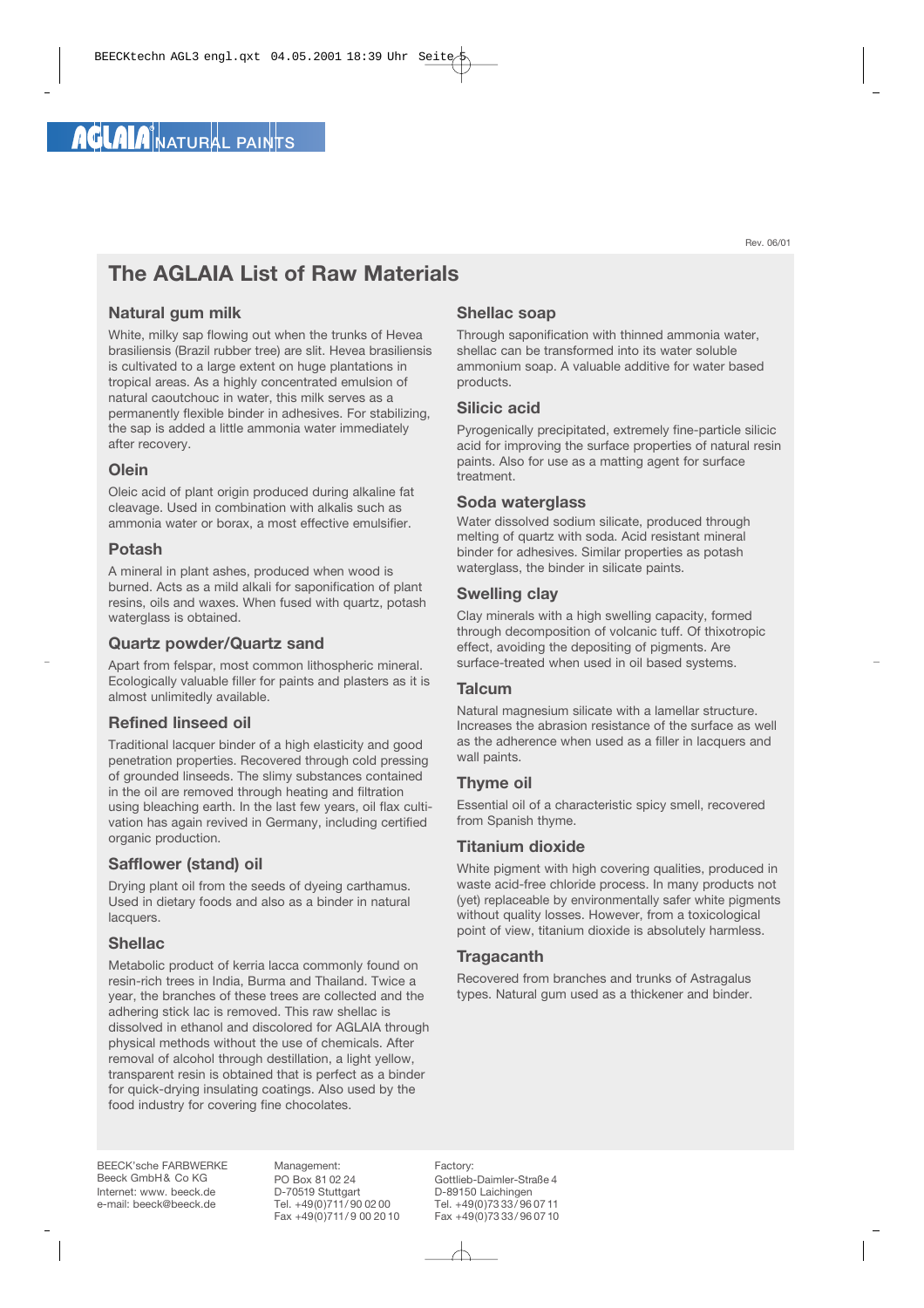Rev. 06/01

# **The AGLAIA List of Raw Materials**

# **Natural gum milk**

White, milky sap flowing out when the trunks of Hevea brasiliensis (Brazil rubber tree) are slit. Hevea brasiliensis is cultivated to a large extent on huge plantations in tropical areas. As a highly concentrated emulsion of natural caoutchouc in water, this milk serves as a permanently flexible binder in adhesives. For stabilizing, the sap is added a little ammonia water immediately after recovery.

#### **Olein**

Oleic acid of plant origin produced during alkaline fat cleavage. Used in combination with alkalis such as ammonia water or borax, a most effective emulsifier.

#### **Potash**

A mineral in plant ashes, produced when wood is burned. Acts as a mild alkali for saponification of plant resins, oils and waxes. When fused with quartz, potash waterglass is obtained.

#### **Quartz powder/Quartz sand**

Apart from felspar, most common lithospheric mineral. Ecologically valuable filler for paints and plasters as it is almost unlimitedly available.

# **Refined linseed oil**

Traditional lacquer binder of a high elasticity and good penetration properties. Recovered through cold pressing of grounded linseeds. The slimy substances contained in the oil are removed through heating and filtration using bleaching earth. In the last few years, oil flax cultivation has again revived in Germany, including certified organic production.

# **Safflower (stand) oil**

Drying plant oil from the seeds of dyeing carthamus. Used in dietary foods and also as a binder in natural lacquers.

# **Shellac**

Metabolic product of kerria lacca commonly found on resin-rich trees in India, Burma and Thailand. Twice a year, the branches of these trees are collected and the adhering stick lac is removed. This raw shellac is dissolved in ethanol and discolored for AGLAIA through physical methods without the use of chemicals. After removal of alcohol through destillation, a light yellow, transparent resin is obtained that is perfect as a binder for quick-drying insulating coatings. Also used by the food industry for covering fine chocolates.

# **Shellac soap**

Through saponification with thinned ammonia water, shellac can be transformed into its water soluble ammonium soap. A valuable additive for water based products.

#### **Silicic acid**

Pyrogenically precipitated, extremely fine-particle silicic acid for improving the surface properties of natural resin paints. Also for use as a matting agent for surface treatment.

#### **Soda waterglass**

Water dissolved sodium silicate, produced through melting of quartz with soda. Acid resistant mineral binder for adhesives. Similar properties as potash waterglass, the binder in silicate paints.

#### **Swelling clay**

Clay minerals with a high swelling capacity, formed through decomposition of volcanic tuff. Of thixotropic effect, avoiding the depositing of pigments. Are surface-treated when used in oil based systems.

#### **Talcum**

Natural magnesium silicate with a lamellar structure. Increases the abrasion resistance of the surface as well as the adherence when used as a filler in lacquers and wall paints.

# **Thyme oil**

Essential oil of a characteristic spicy smell, recovered from Spanish thyme.

#### **Titanium dioxide**

White pigment with high covering qualities, produced in waste acid-free chloride process. In many products not (yet) replaceable by environmentally safer white pigments without quality losses. However, from a toxicological point of view, titanium dioxide is absolutely harmless.

# **Tragacanth**

Recovered from branches and trunks of Astragalus types. Natural gum used as a thickener and binder.

BEECK'sche FARBWERKE Beeck GmbH& Co KG Internet: www. beeck.de e-mail: beeck@beeck.de

Management: PO Box 81 02 24 D-70519 Stuttgart Tel. +49(0)711/ 90 02 00 Fax +49(0)711/9 00 20 10

Factory: Gottlieb-Daimler-Straße 4 D-89150 Laichingen Tel. +49(0)73 33/ 96 07 11 Fax +49(0)73 33/ 96 07 10